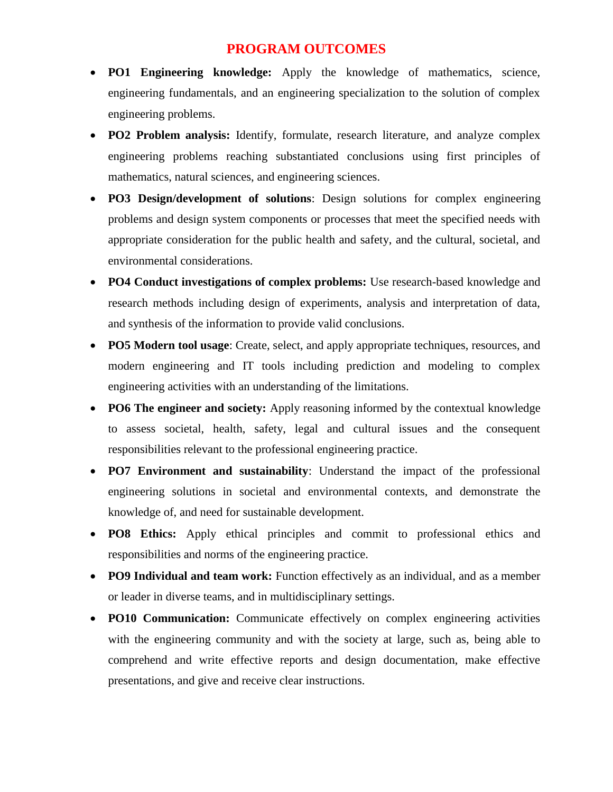## **PROGRAM OUTCOMES**

- **PO1 Engineering knowledge:** Apply the knowledge of mathematics, science, engineering fundamentals, and an engineering specialization to the solution of complex engineering problems.
- **PO2 Problem analysis:** Identify, formulate, research literature, and analyze complex engineering problems reaching substantiated conclusions using first principles of mathematics, natural sciences, and engineering sciences.
- **PO3 Design/development of solutions**: Design solutions for complex engineering problems and design system components or processes that meet the specified needs with appropriate consideration for the public health and safety, and the cultural, societal, and environmental considerations.
- **PO4 Conduct investigations of complex problems:** Use research-based knowledge and research methods including design of experiments, analysis and interpretation of data, and synthesis of the information to provide valid conclusions.
- **PO5 Modern tool usage**: Create, select, and apply appropriate techniques, resources, and modern engineering and IT tools including prediction and modeling to complex engineering activities with an understanding of the limitations.
- **PO6 The engineer and society:** Apply reasoning informed by the contextual knowledge to assess societal, health, safety, legal and cultural issues and the consequent responsibilities relevant to the professional engineering practice.
- **PO7 Environment and sustainability**: Understand the impact of the professional engineering solutions in societal and environmental contexts, and demonstrate the knowledge of, and need for sustainable development.
- **PO8 Ethics:** Apply ethical principles and commit to professional ethics and responsibilities and norms of the engineering practice.
- **PO9 Individual and team work:** Function effectively as an individual, and as a member or leader in diverse teams, and in multidisciplinary settings.
- **PO10 Communication:** Communicate effectively on complex engineering activities with the engineering community and with the society at large, such as, being able to comprehend and write effective reports and design documentation, make effective presentations, and give and receive clear instructions.